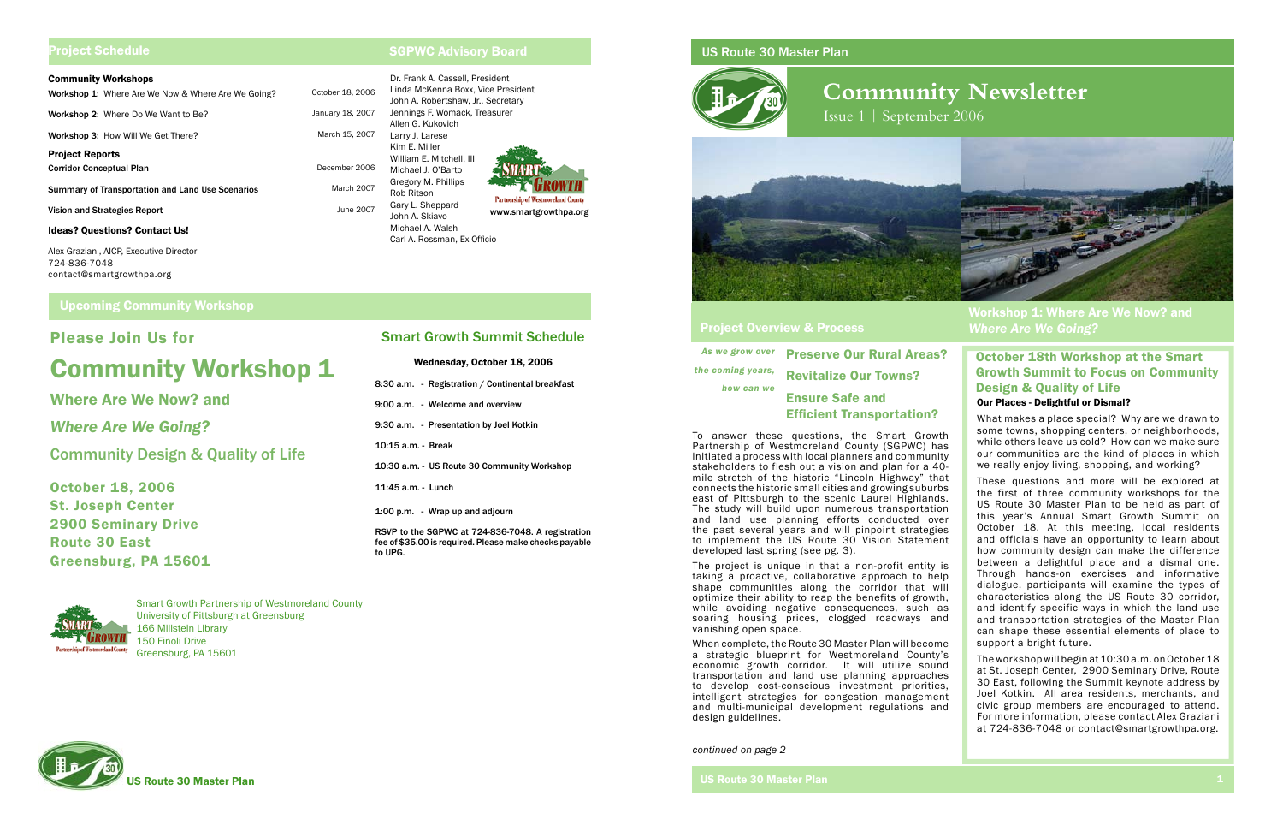As we *the coming years,* 

# US Route 30 Master Plan



# **Community Newsletter**

Issue 1 | September 2006



|                           | e grow over Preserve Our Rural Areas? |
|---------------------------|---------------------------------------|
| ming years,<br>how can we | <b>Revitalize Our Towns?</b>          |
|                           | <b>Ensure Safe and</b>                |
|                           | <b>Efficient Transportation?</b>      |

# Project Overview & Process

Upcoming Community Workshop Now Many Community Workshop Now? and *Where Are We Going?* 

Please Join Us for

Community Workshop 1

Where Are We Now? and

*Where Are We Going?*

Community Design & Quality of Life

October 18, 2006 St. Joseph Center

2900 Seminary Drive

Route 30 East

Greensburg, PA 15601

# Project Schedule

#### Community Workshops

# SGPWC Advisory Board

| <u> Juliani (1999) - Julian School</u><br>Workshop 1: Where Are We Now & Where Are We Going? | October 18 |
|----------------------------------------------------------------------------------------------|------------|
| Workshop 2: Where Do We Want to Be?                                                          | January 18 |
| Workshop 3: How Will We Get There?                                                           | March 15   |
| <b>Project Reports</b><br>Corridor Conceptual Plan                                           | Decembe    |
| <b>Summary of Transportation and Land Use Scenarios</b>                                      | Marc       |
| Vision and Strategies Report                                                                 | Jun        |
| <b>Ideas? Questions? Contact Us!</b>                                                         |            |
| Alex Graziani, AICP, Executive Director<br>724-836-7048<br>contact@smartgrowthpa.org         |            |

## Our Places - Delightful or Dismal?

What makes a place special? Why are we drawn to some towns, shopping centers, or neighborhoods, while others leave us cold? How can we make sure our communities are the kind of places in which we really enjoy living, shopping, and working?

These questions and more will be explored at the first of three community workshops for the US Route 30 Master Plan to be held as part of this year's Annual Smart Growth Summit on October 18. At this meeting, local residents and officials have an opportunity to learn about how community design can make the difference between a delightful place and a dismal one. Through hands-on exercises and informative dialogue, participants will examine the types of characteristics along the US Route 30 corridor, and identify specific ways in which the land use and transportation strategies of the Master Plan can shape these essential elements of place to support a bright future.

The workshop will begin at 10:30 a.m. on October 18 at St. Joseph Center, 2900 Seminary Drive, Route 30 East, following the Summit keynote address by Joel Kotkin. All area residents, merchants, and civic group members are encouraged to attend. For more information, please contact Alex Graziani at 724-836-7048 or contact@smartgrowthpa.org.

# October 18th Workshop at the Smart Growth Summit to Focus on Community Design & Quality of Life

Smart Growth Partnership of Westmoreland County University of Pittsburgh at Greensburg 166 Millstein Library 150 Finoli Drive Greensburg, PA 15601



To answer these questions, the Smart Growth Partnership of Westmoreland County (SGPWC) has initiated a process with local planners and community stakeholders to flesh out a vision and plan for a 40 mile stretch of the historic "Lincoln Highway" that connects the historic small cities and growing suburbs east of Pittsburgh to the scenic Laurel Highlands. The study will build upon numerous transportation and land use planning efforts conducted over the past several years and will pinpoint strategies to implement the US Route 30 Vision Statement developed last spring (see pg. 3).

The project is unique in that a non-profit entity is taking a proactive, collaborative approach to help shape communities along the corridor that will optimize their ability to reap the benefits of growth, while avoiding negative consequences, such as soaring housing prices, clogged roadways and vanishing open space.

When complete, the Route 30 Master Plan will become a strategic blueprint for Westmoreland County's economic growth corridor. It will utilize sound transportation and land use planning approaches to develop cost-conscious investment priorities, intelligent strategies for congestion management and multi-municipal development regulations and design guidelines.

*continued on page 2*

Dr. Frank A. Cassell, President Linda McKenna Boxx, Vice President 8. 2006 John A. Robertshaw, Jr., Secretary Jennings F. Womack, Treasurer 8, 2007 Allen G. Kukovich 5, 2007 Larry J. Larese Kim E. Miller William E. Mitchell, III er 2006 Michael J. O'Barto Gregory M. Phillips h 2007 Rob Ritson **Partnership of Westmoreland Count** Gary L. Sheppard le 2007 www.smartgrowthpa.org John A. Skiavo Michael A. Walsh Carl A. Rossman, Ex Officio

# Smart Growth Summit Schedule

# Wednesday, October 18, 2006

8:30 a.m. - Registration / Continental breakfast 9:00 a.m. - Welcome and overview 9:30 a.m. - Presentation by Joel Kotkin 10:15 a.m. - Break 10:30 a.m. - US Route 30 Community Workshop 11:45 a.m. - Lunch 1:00 p.m. - Wrap up and adjourn

RSVP to the SGPWC at 724-836-7048. A registration fee of \$35.00 is required. Please make checks payable to UPG.